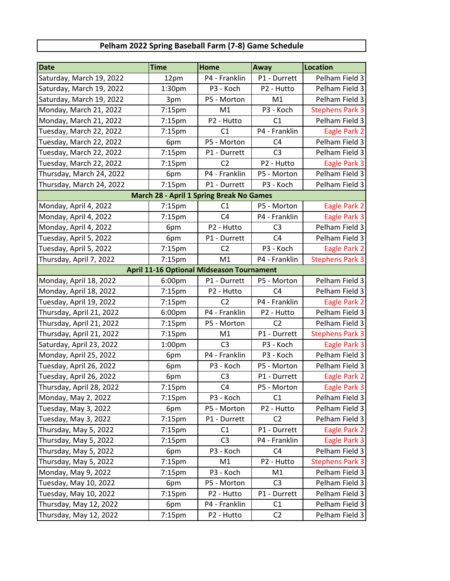## **Pelham 2022 Spring Baseball Farm (7-8) Game Schedule**

| <b>Date</b>                                      | <b>Time</b>        | Home           | Away           | Location               |  |  |  |
|--------------------------------------------------|--------------------|----------------|----------------|------------------------|--|--|--|
| Saturday, March 19, 2022                         | 12pm               | P4 - Franklin  | P1 - Durrett   | Pelham Field 3         |  |  |  |
| Saturday, March 19, 2022                         | 1:30pm             | P3 - Koch      | P2 - Hutto     | Pelham Field 3         |  |  |  |
| Saturday, March 19, 2022                         | 3pm                | P5 - Morton    | M1             | Pelham Field 3         |  |  |  |
| Monday, March 21, 2022                           | 7:15pm             | M1             | P3 - Koch      | <b>Stephens Park 3</b> |  |  |  |
| Monday, March 21, 2022                           | 7:15pm             | P2 - Hutto     | C1             | Pelham Field 3         |  |  |  |
| Tuesday, March 22, 2022                          | 7:15pm             | C1             | P4 - Franklin  | Eagle Park 2           |  |  |  |
| Tuesday, March 22, 2022                          | 6pm                | P5 - Morton    | C <sub>4</sub> | Pelham Field 3         |  |  |  |
| Tuesday, March 22, 2022                          | 7:15pm             | P1 - Durrett   | C <sub>3</sub> | Pelham Field 3         |  |  |  |
| Tuesday, March 22, 2022                          | 7:15pm             | C <sub>2</sub> | P2 - Hutto     | Eagle Park 3           |  |  |  |
| Thursday, March 24, 2022                         | 6pm                | P4 - Franklin  | P5 - Morton    | Pelham Field 3         |  |  |  |
| Thursday, March 24, 2022                         | 7:15pm             | P1 - Durrett   | P3 - Koch      | Pelham Field 3         |  |  |  |
| <b>March 28 - April 1 Spring Break No Games</b>  |                    |                |                |                        |  |  |  |
| Monday, April 4, 2022                            | 7:15pm             | C1             | P5 - Morton    | Eagle Park 2           |  |  |  |
| Monday, April 4, 2022                            | 7:15pm             | C <sub>4</sub> | P4 - Franklin  | Eagle Park 3           |  |  |  |
| Monday, April 4, 2022                            | 6pm                | P2 - Hutto     | C <sub>3</sub> | Pelham Field 3         |  |  |  |
| Tuesday, April 5, 2022                           | 6pm                | P1 - Durrett   | C <sub>4</sub> | Pelham Field 3         |  |  |  |
| Tuesday, April 5, 2022                           | 7:15 <sub>pm</sub> | C <sub>2</sub> | P3 - Koch      | Eagle Park 2           |  |  |  |
| Thursday, April 7, 2022                          | 7:15pm             | M1             | P4 - Franklin  | <b>Stephens Park 3</b> |  |  |  |
| <b>April 11-16 Optional Midseason Tournament</b> |                    |                |                |                        |  |  |  |
| Monday, April 18, 2022                           | 6:00pm             | P1 - Durrett   | P5 - Morton    | Pelham Field 3         |  |  |  |
| Monday, April 18, 2022                           | 7:15pm             | P2 - Hutto     | C <sub>4</sub> | Pelham Field 3         |  |  |  |
| Tuesday, April 19, 2022                          | 7:15pm             | C <sub>2</sub> | P4 - Franklin  | Eagle Park 2           |  |  |  |
| Thursday, April 21, 2022                         | 6:00pm             | P4 - Franklin  | P2 - Hutto     | Pelham Field 3         |  |  |  |
| Thursday, April 21, 2022                         | 7:15pm             | P5 - Morton    | C <sub>2</sub> | Pelham Field 3         |  |  |  |
| Thursday, April 21, 2022                         | 7:15pm             | M1             | P1 - Durrett   | <b>Stephens Park 3</b> |  |  |  |
| Saturday, April 23, 2022                         | 1:00pm             | C <sub>3</sub> | P3 - Koch      | Eagle Park 3           |  |  |  |
| Monday, April 25, 2022                           | 6pm                | P4 - Franklin  | P3 - Koch      | Pelham Field 3         |  |  |  |
| Tuesday, April 26, 2022                          | 6pm                | P3 - Koch      | P5 - Morton    | Pelham Field 3         |  |  |  |
| Tuesday, April 26, 2022                          | 6pm                | C <sub>3</sub> | P1 - Durrett   | Eagle Park 2           |  |  |  |
| Thursday, April 28, 2022                         | $7:15 \text{pm}$   | C <sub>4</sub> | P5 - Morton    | Eagle Park 3           |  |  |  |
| Monday, May 2, 2022                              | $7:15$ pm          | P3 - Koch      | C <sub>1</sub> | Pelham Field 3         |  |  |  |
| Tuesday, May 3, 2022                             | 6pm                | P5 - Morton    | P2 - Hutto     | Pelham Field 3         |  |  |  |
| Tuesday, May 3, 2022                             | 7:15pm             | P1 - Durrett   | C <sub>2</sub> | Pelham Field 3         |  |  |  |
| Thursday, May 5, 2022                            | 7:15 <sub>pm</sub> | C1             | P1 - Durrett   | Eagle Park 2           |  |  |  |
| Thursday, May 5, 2022                            | 7:15 <sub>pm</sub> | C <sub>3</sub> | P4 - Franklin  | Eagle Park 3           |  |  |  |
| Thursday, May 5, 2022                            | 6pm                | P3 - Koch      | C <sub>4</sub> | Pelham Field 3         |  |  |  |
| Thursday, May 5, 2022                            | 7:15pm             | M1             | P2 - Hutto     | <b>Stephens Park 3</b> |  |  |  |
| Monday, May 9, 2022                              | 7:15pm             | P3 - Koch      | M1             | Pelham Field 3         |  |  |  |
| Tuesday, May 10, 2022                            | 6pm                | P5 - Morton    | C <sub>3</sub> | Pelham Field 3         |  |  |  |
| Tuesday, May 10, 2022                            | 7:15 <sub>pm</sub> | P2 - Hutto     | P1 - Durrett   | Pelham Field 3         |  |  |  |
| Thursday, May 12, 2022                           | 6pm                | P4 - Franklin  | C1             | Pelham Field 3         |  |  |  |
| Thursday, May 12, 2022                           | 7:15pm             | P2 - Hutto     | C <sub>2</sub> | Pelham Field 3         |  |  |  |